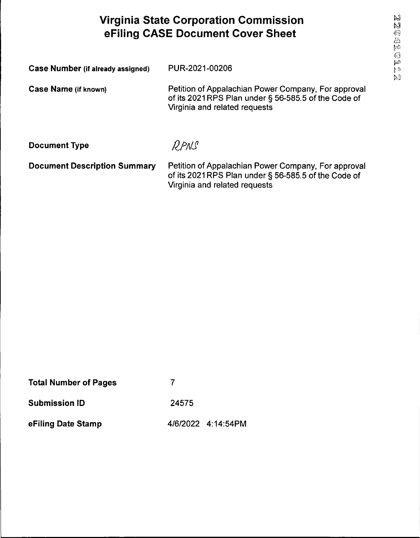# **Virginia State Corporation Commission eFiling CASE Document Cover Sheet**

| <b>Case Number (if already assigned)</b> | PUR-2021-00206                                                                                                                              |
|------------------------------------------|---------------------------------------------------------------------------------------------------------------------------------------------|
| <b>Case Name (if known)</b>              | Petition of Appalachian Power Company, For approval<br>of its 2021RPS Plan under § 56-585.5 of the Code of<br>Virginia and related requests |
| <b>Document Type</b>                     | $\rho_{P\Lambda}$                                                                                                                           |
| <b>Document Description Summary</b>      | Petition of Appalachian Power Company, For approval<br>of its 2021RPS Plan under § 56-585.5 of the Code of<br>Virginia and related requests |

| <b>Total Number of Pages</b> |       |                    |
|------------------------------|-------|--------------------|
| <b>Submission ID</b>         | 24575 |                    |
| eFiling Date Stamp           |       | 4/6/2022 4:14:54PM |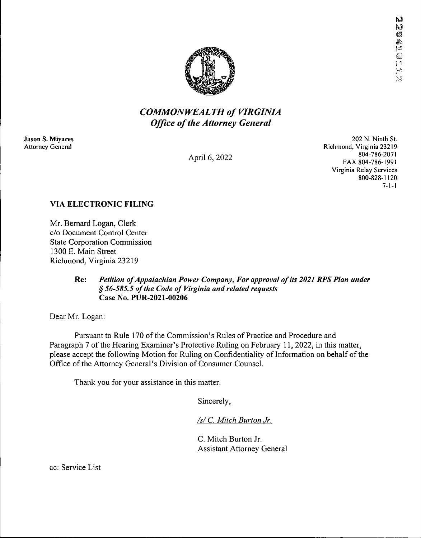

## *COMMONWEALTHof VIRGINIA Office ofthe Attorney General*

**Jason S. Miyares** Attorney General

April 6, 2022

202 N. Ninth St. Richmond, Virginia 23219 804-786-2071 FAX 804-786-1991 Virginia Relay Services 800-828-1120 7-1-1

### **VIA ELECTRONIC FILING**

Mr. Bernard Logan, Clerk c/o Document Control Center State Corporation Commission 1300 E. Main Street Richmond, Virginia 23219

#### **Re:** *Petition ofAppalachian Power Company, For approval ofits 2021 KPS Plan under § 56-585.5 ofthe Code of Virginia and related requests* **Case No. PUR-2021-00206**

Dear Mr. Logan:

Pursuant to Rule 170 of the Commission's Rules of Practice and Procedure and Paragraph 7 of the Hearing Examiner's Protective Ruling on February 11, 2022, in this matter, please accept the following Motion for Ruling on Confidentiality of Information on behalf of the Office of the Attorney General's Division of Consumer Counsel.

Thank you for your assistance in this matter.

Sincerely,

*/s/ C. Mitch Burton Jr.*

C. Mitch Burton Jr. Assistant Attorney General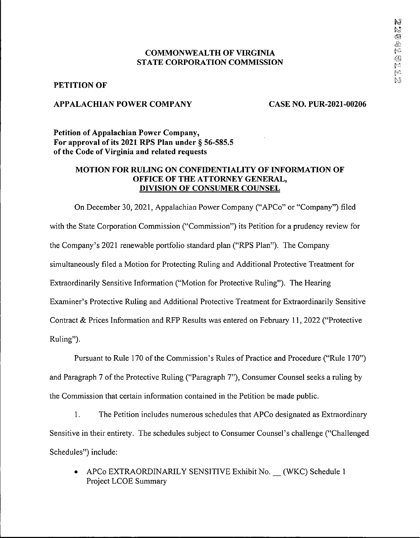#### **COMMONWEALTH OF VIRGINIA STATE CORPORATION COMMISSION**

#### **PETITION OF**

#### **APPALACHIAN POWER COMPANY CASE NO. PUR-2021-00206**

**Petition of Appalachian Power Company, For approval of its 2021 RPS Plan under § 56-585.5 ofthe Code of Virginia and related requests**

#### **MOTION FOR RULING ON CONFIDENTIALITY OF INFORMATION OF OFFICE OF THE ATTORNEY GENERAL, DIVISION OF CONSUMER COUNSEL**

On December 30, 2021, Appalachian Power Company ("APCo" or "Company") filed with the State Corporation Commission ("Commission") its Petition for a prudency review for the Company's 2021 renewable portfolio standard plan ("RPS Plan"). The Company simultaneously filed a Motion for Protecting Ruling and Additional Protective Treatment for Extraordinarily Sensitive Information ("Motion for Protective Ruling"). The Hearing Examiner's Protective Ruling and Additional Protective Treatment for Extraordinarily Sensitive Contract & Prices Information and RFP Results was entered on February 11, 2022 ("Protective Ruling").

Pursuant to Rule 170 of the Commission's Rules of Practice and Procedure ("Rule 170") and Paragraph 7 of the Protective Ruling ("Paragraph 7"), Consumer Counsel seeks a ruling by the Commission that certain information contained in the Petition be made public.

1. The Petition includes numerous schedules that APCo designated as Extraordinary Sensitive in their entirety. The schedules subject to Consumer Counsel's challenge ("Challenged Schedules") include:

• APCo EXTRAORDINARILY SENSITIVE Exhibit No. (WKC) Schedule I Project LCOE Summary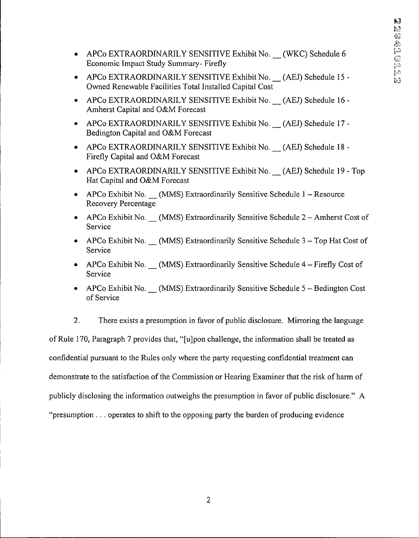- APCo EXTRAORDINARILY SENSITIVE Exhibit No. (WKC) Schedule 6 Economic Impact Study Summary- Firefly
- APCo EXTRAORDINARILY SENSITIVE Exhibit No. (AEJ) Schedule 15 Owned Renewable Facilities Total Installed Capital Cost
- APCo EXTRAORDINARILY SENSITIVE Exhibit No. (AEJ) Schedule 16 Amherst Capital and O&M Forecast
- APCo EXTRAORDINARILY SENSITIVE Exhibit No. (AEJ) Schedule 17 -Bedington Capital and O&M Forecast
- APCo EXTRAORDINARILY SENSITIVE Exhibit No. (AEJ) Schedule 18 Firefly Capital and O&M Forecast
- APCo EXTRAORDINARILY SENSITIVE Exhibit No. (AEJ) Schedule 19 Top Hat Capital and O&M Forecast
- APCo Exhibit No. (MMS) Extraordinarily Sensitive Schedule 1 Resource Recovery Percentage
- APCo Exhibit No. (MMS) Extraordinarily Sensitive Schedule 2 Amherst Cost of Service
- APCo Exhibit No. (MMS) Extraordinarily Sensitive Schedule  $3 Top$  Hat Cost of Service
- APCo Exhibit No. (MMS) Extraordinarily Sensitive Schedule 4 Firefly Cost of Service
- APCo Exhibit No. (MMS) Extraordinarily Sensitive Schedule  $5 -$ Bedington Cost of Service

2. There exists a presumption in favor of public disclosure. Mirroring the language ofRule 170, Paragraph 7 provides that, "[ujpon challenge, the information shall be treated as confidential pursuant to the Rules only where the party requesting confidential treatment can demonstrate to the satisfaction of the Commission or Hearing Examiner that the risk of harm of publicly disclosing the information outweighs the presumption in favor of public disclosure." A "presumption . .. operates to shift to the opposing party the burden of producing evidence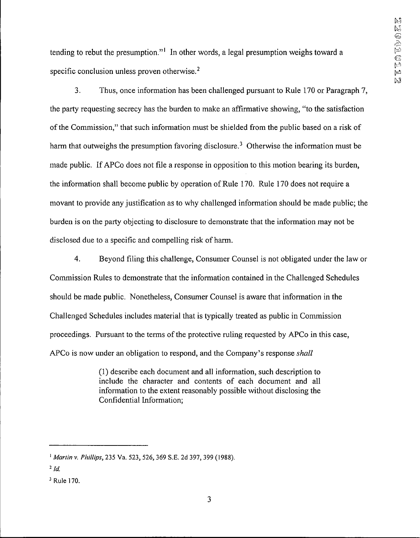tending to rebut the presumption."<sup>1</sup> In other words, a legal presumption weighs toward a specific conclusion unless proven otherwise.<sup>2</sup>

3. Thus, once information has been challenged pursuant to Rule 170 or Paragraph 7, the party requesting secrecy has the burden to make an affirmative showing, "to the satisfaction ofthe Commission," that such information must be shielded from the public based on a risk of harm that outweighs the presumption favoring disclosure.<sup>3</sup> Otherwise the information must be made public. If APCo does not file a response in opposition to this motion bearing its burden, the information shall become public by operation of Rule 170. Rule 170 does not require a movant to provide any justification as to why challenged information should be made public; the burden is on the party objecting to disclosure to demonstrate that the information may not be disclosed due to a specific and compelling risk of harm.

4. Beyond filing this challenge, Consumer Counsel is not obligated under the law or Commission Rules to demonstrate that the information contained in the Challenged Schedules should be made public. Nonetheless, Consumer Counsel is aware that information in the Challenged Schedules includes material that is typically treated as public in Commission proceedings. Pursuant to the terms of the protective ruling requested by APCo in this case, APCo is now under an obligation to respond, and the Company's response *shall*

> (1) describe each document and all information, such description to include the character and contents of each document and all information to the extent reasonably possible without disclosing the Confidential Information;

i *Martin v. Phillips,* 235 Va. 523, 526, 369 S.E. 2d 397, 399 (1988).

 $2/d$ 

<sup>3</sup> Rule 170.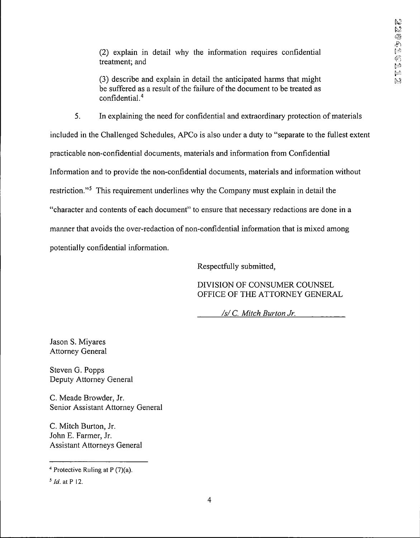(2) explain in detail why the information requires confidential treatment; and

(3) describe and explain in detail the anticipated harms that might be suffered as a result of the failure of the document to be treated as confidential.4

5. In explaining the need for confidential and extraordinary protection of materials included in the Challenged Schedules, APCo is also under a duty to "separate to the fullest extent practicable non-confidential documents, materials and information from Confidential Information and to provide the non-confidential documents, materials and information without restriction."<sup>5</sup> This requirement underlines why the Company must explain in detail the "character and contents of each document" to ensure that necessary redactions are done in a manner that avoids the over-redaction of non-confidential information that is mixed among potentially confidential information.

Respectfully submitted.

DIVISION OF CONSUMER COUNSEL OFFICE OF THE ATTORNEY GENERAL

*/s/ C. Mitch Burton Jr.*

lason S. Miyares Attorney General

Steven G. Popps Deputy Attorney General

C. Meade Browder, Jr. Senior Assistant Attorney General

C. Mitch Burton, Jr. John E. Farmer, Jr. Assistant Attorneys General

<sup>4</sup> Protective Ruling at P (7)(a).

*<sup>5</sup> Id.* atP 12.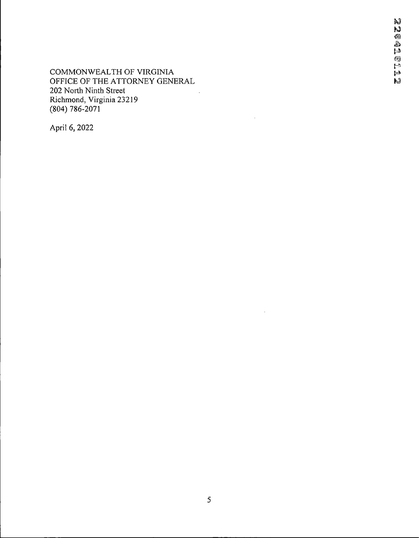**COMMONWEALTH OF VIRGINIA**<br>COMMONWEALTH OF VIRGINIA<br>OFFICE OF THE ATTORNEY GENERAL OFFICE OF THE ATTORNEY GENERAL 202 North Ninth Street  $\sim 10$ Richmond, Virginia 23219 (804) 786-2071

April 6, 2022

 $\bar{z}$ 

 $\bar{z}$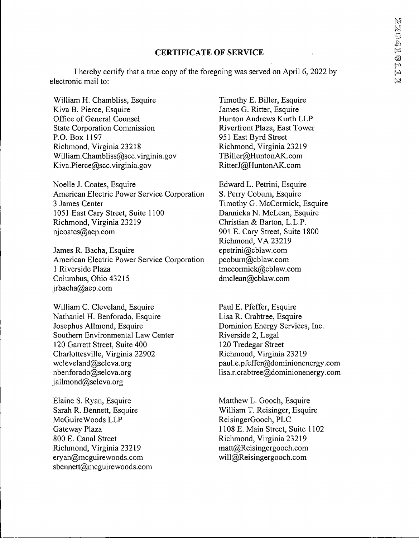#### **CERTIFICATE OF SERVICE**

I hereby certify that a true copy of the foregoing was served on April 6, 2022 by electronic mail to:

William H. Chambliss, Esquire Kiva B. Pierce, Esquire Office of General Counsel State Corporation Commission P.O.Box 1197 Richmond, Virginia 23218 William.Chambliss@scc.virginia.gov Kiva.Pierce@scc.virginia.gov

Noelle J. Coates, Esquire American Electric Power Service Corporation 3 James Center 1051 East Cary Street, Suite 1100 Richmond, Virginia 23219 njcoates@aep.com

James R. Bacha, Esquire American Electric Power Service Corporation <sup>1</sup> Riverside Plaza Columbus, Ohio 43215 jrbacha@aep.com

William C. Cleveland, Esquire Nathaniel H. Benforado, Esquire Josephus Allmond, Esquire Southern Environmental Law Center 120 Garrett Street, Suite 400 Charlottesville, Virginia 22902 wcleveland@selcva.org nbenforado@selcva.org jallmond@selcva.org

Elaine S. Ryan, Esquire Sarah R. Bennett, Esquire McGuireWoods LLP Gateway Plaza 800 E. Canal Street Richmond, Virginia 23219 eryan@mcguirewoods.com sbennett@mcguirewoods.com

Timothy E. Biller, Esquire James G. Ritter, Esquire Hunton Andrews Kurth LLP Riverfront Plaza, East Tower 951 East Byrd Street Richmond, Virginia 23219 TBiller@HuntonAK.com RitterJ@HuntonAK.com

Edward L. Petrini, Esquire S. Perry Coburn, Esquire Timothy G. McCormick, Esquire Dannieka N. McLean, Esquire Christian & Barton, L.L.P. 901 E. Cary Street, Suite 1800 Richmond, VA 23219 epetrini@cblaw.com pcobum@cblaw.com tmccormick@cblaw.com dmclean@cblaw.com

Paul E. Pfeffer, Esquire Lisa R. Crabtree, Esquire Dominion Energy Services, Inc. Riverside 2, Legal 120 Tredegar Street Richmond, Virginia 23219 paul.e.pfeffer@dominionenergy.com lisa.r.crabtree@dominionenergy.com

Matthew L. Gooch, Esquire William T. Reisinger, Esquire ReisingerGooch, PLC 1108 E. Main Street, Suite 1102 Richmond, Virginia 23219 matt@Reisingergooch.com will@Reisingergooch.com